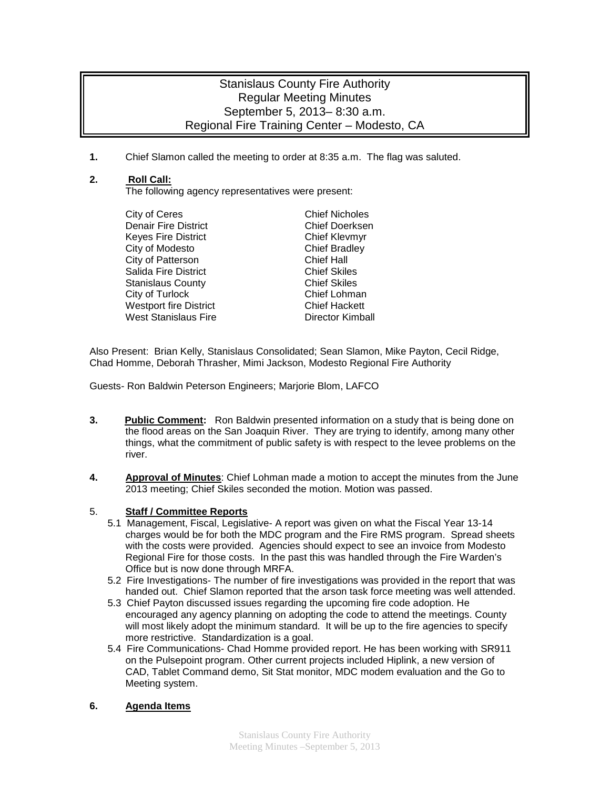## Stanislaus County Fire Authority Regular Meeting Minutes September 5, 2013– 8:30 a.m. Regional Fire Training Center – Modesto, CA

**1.** Chief Slamon called the meeting to order at 8:35 a.m. The flag was saluted.

## **2. Roll Call:**

The following agency representatives were present:

| City of Ceres                 | <b>Chief Nicholes</b>   |
|-------------------------------|-------------------------|
| <b>Denair Fire District</b>   | <b>Chief Doerksen</b>   |
| <b>Keyes Fire District</b>    | <b>Chief Klevmyr</b>    |
| City of Modesto               | <b>Chief Bradley</b>    |
| City of Patterson             | <b>Chief Hall</b>       |
| Salida Fire District          | <b>Chief Skiles</b>     |
| <b>Stanislaus County</b>      | <b>Chief Skiles</b>     |
| City of Turlock               | Chief Lohman            |
| <b>Westport fire District</b> | <b>Chief Hackett</b>    |
| <b>West Stanislaus Fire</b>   | <b>Director Kimball</b> |
|                               |                         |

Also Present: Brian Kelly, Stanislaus Consolidated; Sean Slamon, Mike Payton, Cecil Ridge, Chad Homme, Deborah Thrasher, Mimi Jackson, Modesto Regional Fire Authority

Guests- Ron Baldwin Peterson Engineers; Marjorie Blom, LAFCO

- **3. Public Comment:** Ron Baldwin presented information on a study that is being done on the flood areas on the San Joaquin River. They are trying to identify, among many other things, what the commitment of public safety is with respect to the levee problems on the river.
- **4. Approval of Minutes**: Chief Lohman made a motion to accept the minutes from the June 2013 meeting; Chief Skiles seconded the motion. Motion was passed.

## 5. **Staff / Committee Reports**

- 5.1 Management, Fiscal, Legislative- A report was given on what the Fiscal Year 13-14 charges would be for both the MDC program and the Fire RMS program. Spread sheets with the costs were provided. Agencies should expect to see an invoice from Modesto Regional Fire for those costs. In the past this was handled through the Fire Warden's Office but is now done through MRFA.
- 5.2 Fire Investigations- The number of fire investigations was provided in the report that was handed out. Chief Slamon reported that the arson task force meeting was well attended.
- 5.3 Chief Payton discussed issues regarding the upcoming fire code adoption. He encouraged any agency planning on adopting the code to attend the meetings. County will most likely adopt the minimum standard. It will be up to the fire agencies to specify more restrictive. Standardization is a goal.
- 5.4 Fire Communications- Chad Homme provided report. He has been working with SR911 on the Pulsepoint program. Other current projects included Hiplink, a new version of CAD, Tablet Command demo, Sit Stat monitor, MDC modem evaluation and the Go to Meeting system.

## **6. Agenda Items**